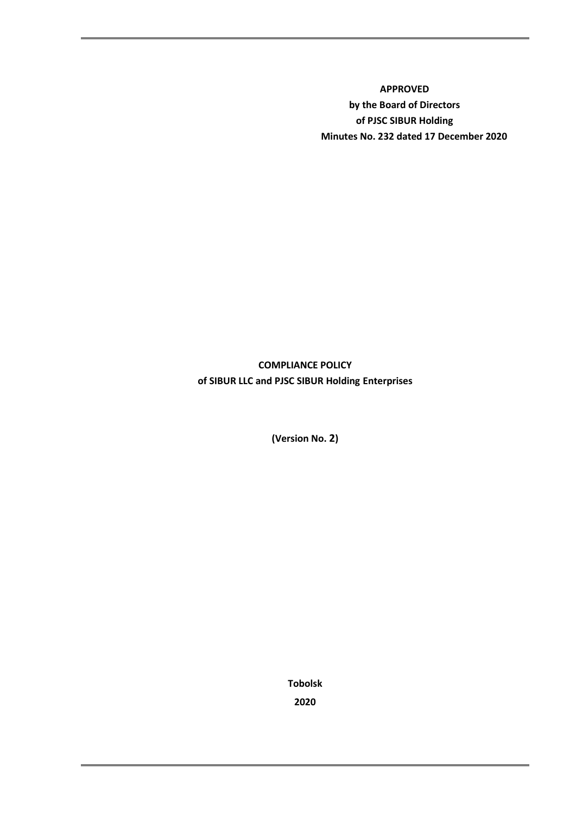**APPROVED by the Board of Directors of PJSC SIBUR Holding Minutes No. 232 dated 17 December 2020** 

**COMPLIANCE POLICY of SIBUR LLC and PJSC SIBUR Holding Enterprises**

**(Version No. 2)**

**Tobolsk 2020**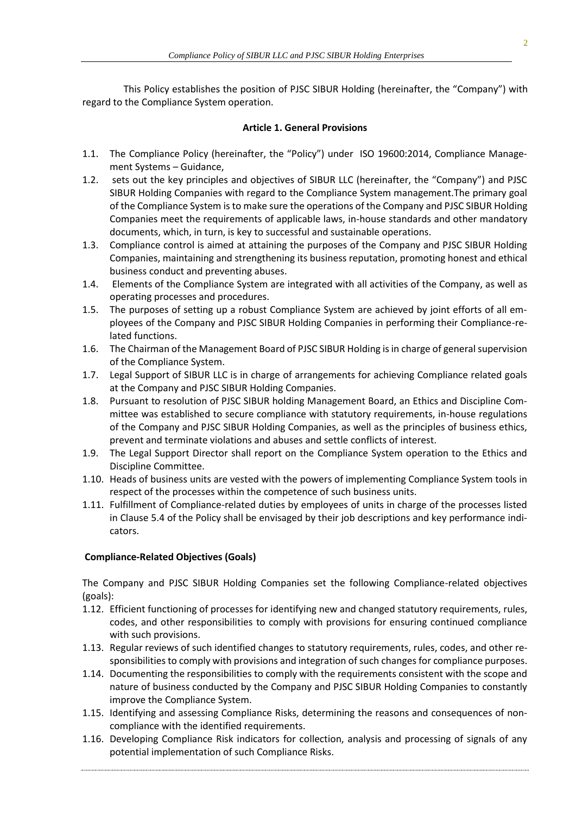This Policy establishes the position of PJSC SIBUR Holding (hereinafter, the "Company") with regard to the Compliance System operation.

## **Article 1. General Provisions**

- 1.1. The Compliance Policy (hereinafter, the "Policy") under ISO 19600:2014, Compliance Management Systems – Guidance,
- 1.2. sets out the key principles and objectives of SIBUR LLC (hereinafter, the "Company") and PJSC SIBUR Holding Companies with regard to the Compliance System management.The primary goal of the Compliance System is to make sure the operations of the Company and PJSC SIBUR Holding Companies meet the requirements of applicable laws, in-house standards and other mandatory documents, which, in turn, is key to successful and sustainable operations.
- 1.3. Compliance control is aimed at attaining the purposes of the Company and PJSC SIBUR Holding Companies, maintaining and strengthening its business reputation, promoting honest and ethical business conduct and preventing abuses.
- 1.4. Elements of the Compliance System are integrated with all activities of the Company, as well as operating processes and procedures.
- 1.5. The purposes of setting up a robust Compliance System are achieved by joint efforts of all employees of the Company and PJSC SIBUR Holding Companies in performing their Compliance-related functions.
- 1.6. The Chairman of the Management Board of PJSC SIBUR Holding is in charge of general supervision of the Compliance System.
- 1.7. Legal Support of SIBUR LLC is in charge of arrangements for achieving Compliance related goals at the Company and PJSC SIBUR Holding Companies.
- 1.8. Pursuant to resolution of PJSC SIBUR holding Management Board, an Ethics and Discipline Committee was established to secure compliance with statutory requirements, in-house regulations of the Company and PJSC SIBUR Holding Companies, as well as the principles of business ethics, prevent and terminate violations and abuses and settle conflicts of interest.
- 1.9. The Legal Support Director shall report on the Compliance System operation to the Ethics and Discipline Committee.
- 1.10. Heads of business units are vested with the powers of implementing Compliance System tools in respect of the processes within the competence of such business units.
- 1.11. Fulfillment of Compliance-related duties by employees of units in charge of the processes listed in Clause 5.4 of the Policy shall be envisaged by their job descriptions and key performance indicators.

# **Compliance-Related Objectives (Goals)**

The Company and PJSC SIBUR Holding Companies set the following Compliance-related objectives (goals):

- 1.12. Efficient functioning of processes for identifying new and changed statutory requirements, rules, codes, and other responsibilities to comply with provisions for ensuring continued compliance with such provisions.
- 1.13. Regular reviews of such identified changes to statutory requirements, rules, codes, and other responsibilities to comply with provisions and integration of such changes for compliance purposes.
- 1.14. Documenting the responsibilities to comply with the requirements consistent with the scope and nature of business conducted by the Company and PJSC SIBUR Holding Companies to constantly improve the Compliance System.
- 1.15. Identifying and assessing Compliance Risks, determining the reasons and consequences of noncompliance with the identified requirements.
- 1.16. Developing Compliance Risk indicators for collection, analysis and processing of signals of any potential implementation of such Compliance Risks.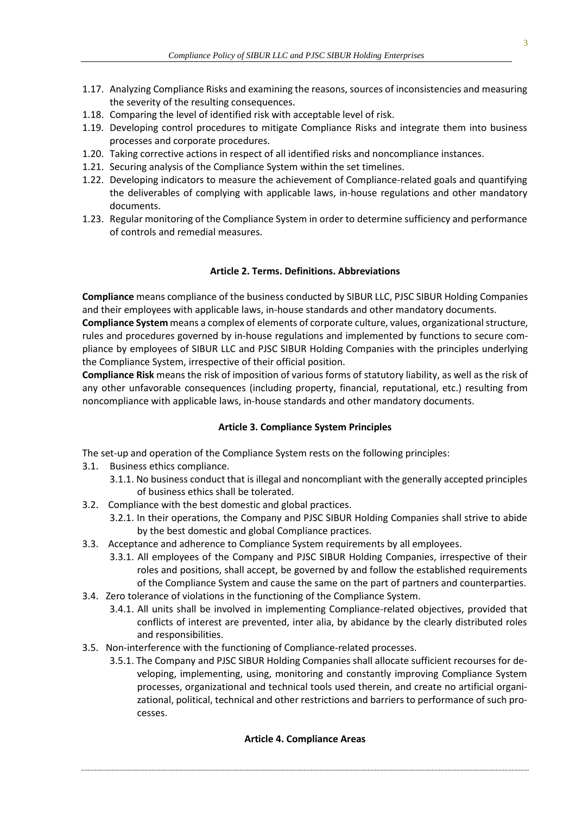- 1.17. Analyzing Compliance Risks and examining the reasons, sources of inconsistencies and measuring the severity of the resulting consequences.
- 1.18. Comparing the level of identified risk with acceptable level of risk.
- 1.19. Developing control procedures to mitigate Compliance Risks and integrate them into business processes and corporate procedures.
- 1.20. Taking corrective actions in respect of all identified risks and noncompliance instances.
- 1.21. Securing analysis of the Compliance System within the set timelines.
- 1.22. Developing indicators to measure the achievement of Compliance-related goals and quantifying the deliverables of complying with applicable laws, in-house regulations and other mandatory documents.
- 1.23. Regular monitoring of the Compliance System in order to determine sufficiency and performance of controls and remedial measures.

### **Article 2. Terms. Definitions. Abbreviations**

**Compliance** means compliance of the business conducted by SIBUR LLC, PJSC SIBUR Holding Companies and their employees with applicable laws, in-house standards and other mandatory documents.

**Compliance System** means a complex of elements of corporate culture, values, organizational structure, rules and procedures governed by in-house regulations and implemented by functions to secure compliance by employees of SIBUR LLC and PJSC SIBUR Holding Companies with the principles underlying the Compliance System, irrespective of their official position.

**Compliance Risk** means the risk of imposition of various forms of statutory liability, as well as the risk of any other unfavorable consequences (including property, financial, reputational, etc.) resulting from noncompliance with applicable laws, in-house standards and other mandatory documents.

### **Article 3. Compliance System Principles**

The set-up and operation of the Compliance System rests on the following principles:

- 3.1. Business ethics compliance.
	- 3.1.1. No business conduct that is illegal and noncompliant with the generally accepted principles of business ethics shall be tolerated.
- 3.2. Compliance with the best domestic and global practices.
	- 3.2.1. In their operations, the Company and PJSC SIBUR Holding Companies shall strive to abide by the best domestic and global Compliance practices.
- 3.3. Acceptance and adherence to Compliance System requirements by all employees.
	- 3.3.1. All employees of the Company and PJSC SIBUR Holding Companies, irrespective of their roles and positions, shall accept, be governed by and follow the established requirements of the Compliance System and cause the same on the part of partners and counterparties.
- 3.4. Zero tolerance of violations in the functioning of the Compliance System.
	- 3.4.1. All units shall be involved in implementing Compliance-related objectives, provided that conflicts of interest are prevented, inter alia, by abidance by the clearly distributed roles and responsibilities.
- 3.5. Non-interference with the functioning of Compliance-related processes.
	- 3.5.1. The Company and PJSC SIBUR Holding Companies shall allocate sufficient recourses for developing, implementing, using, monitoring and constantly improving Compliance System processes, organizational and technical tools used therein, and create no artificial organizational, political, technical and other restrictions and barriers to performance of such processes.

### **Article 4. Compliance Areas**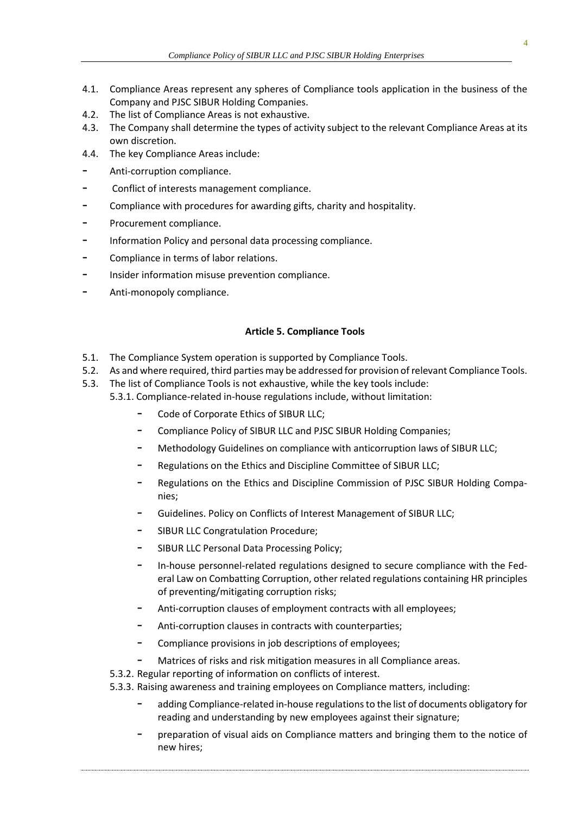- 4.1. Compliance Areas represent any spheres of Compliance tools application in the business of the Company and PJSC SIBUR Holding Companies.
- 4.2. The list of Compliance Areas is not exhaustive.
- 4.3. The Company shall determine the types of activity subject to the relevant Compliance Areas at its own discretion.
- 4.4. The key Compliance Areas include:
- Anti-corruption compliance.
- Conflict of interests management compliance.
- Compliance with procedures for awarding gifts, charity and hospitality.
- Procurement compliance.
- Information Policy and personal data processing compliance.
- Compliance in terms of labor relations.
- Insider information misuse prevention compliance.
- Anti-monopoly compliance.

### **Article 5. Compliance Tools**

- 5.1. The Compliance System operation is supported by Compliance Tools.
- 5.2. As and where required, third parties may be addressed for provision of relevant Compliance Tools.
- 5.3. The list of Compliance Tools is not exhaustive, while the key tools include:
	- 5.3.1. Compliance-related in-house regulations include, without limitation:
		- Code of Corporate Ethics of SIBUR LLC;
		- Compliance Policy of SIBUR LLC and PJSC SIBUR Holding Companies;
		- Methodology Guidelines on compliance with anticorruption laws of SIBUR LLC;
		- Regulations on the Ethics and Discipline Committee of SIBUR LLC;
		- Regulations on the Ethics and Discipline Commission of PJSC SIBUR Holding Companies;
		- Guidelines. Policy on Conflicts of Interest Management of SIBUR LLC;
		- SIBUR LLC Congratulation Procedure;
		- SIBUR LLC Personal Data Processing Policy;
		- In-house personnel-related regulations designed to secure compliance with the Federal Law on Combatting Corruption, other related regulations containing HR principles of preventing/mitigating corruption risks;
		- Anti-corruption clauses of employment contracts with all employees;
		- Anti-corruption clauses in contracts with counterparties;
		- Compliance provisions in job descriptions of employees;
		- Matrices of risks and risk mitigation measures in all Compliance areas.
		- 5.3.2. Regular reporting of information on conflicts of interest.
		- 5.3.3. Raising awareness and training employees on Compliance matters, including:
			- adding Compliance-related in-house regulations to the list of documents obligatory for reading and understanding by new employees against their signature;
			- preparation of visual aids on Compliance matters and bringing them to the notice of new hires;